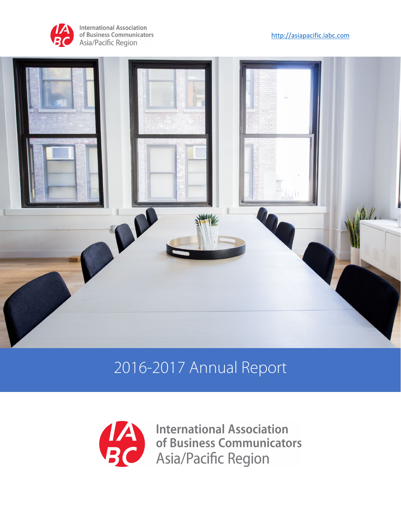

**International Association** of Business Communicators Asia/Pacific Region





# 2016-2017 Annual Report



**International Association**  $\overline{\phantom{a}}$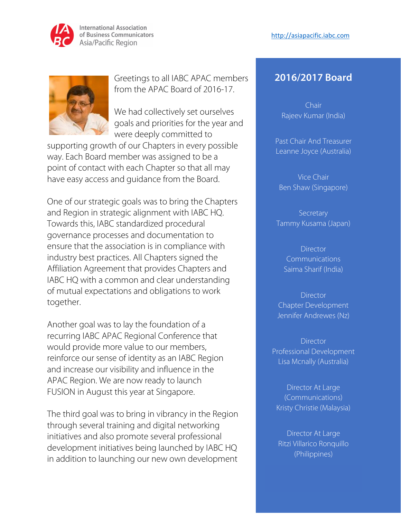

**International Association** of Business Communicators Asia/Pacific Region



Greetings to all IABC APAC members from the APAC Board of 2016-17.

We had collectively set ourselves goals and priorities for the year and were deeply committed to

supporting growth of our Chapters in every possible way. Each Board member was assigned to be a point of contact with each Chapter so that all may have easy access and guidance from the Board.

One of our strategic goals was to bring the Chapters and Region in strategic alignment with IABC HQ. Towards this, IABC standardized procedural governance processes and documentation to ensure that the association is in compliance with industry best practices. All Chapters signed the Affiliation Agreement that provides Chapters and IABC HQ with a common and clear understanding of mutual expectations and obligations to work together.

Another goal was to lay the foundation of a recurring IABC APAC Regional Conference that would provide more value to our members, reinforce our sense of identity as an IABC Region and increase our visibility and influence in the APAC Region. We are now ready to launch FUSION in August this year at Singapore.

The third goal was to bring in vibrancy in the Region through several training and digital networking initiatives and also promote several professional development initiatives being launched by IABC HQ in addition to launching our new own development

## **2016/2017 Board**

Chair Rajeev Kumar (India)

Past Chair And Treasurer Leanne Joyce (Australia)

Vice Chair Ben Shaw (Singapore)

**Secretary** Tammy Kusama (Japan)

> **Director Communications** Saima Sharif (India)

Director Chapter Development Jennifer Andrewes (Nz)

**Director** Professional Development Lisa Mcnally (Australia)

Director At Large (Communications) Kristy Christie (Malaysia)

Director At Large Ritzi Villarico Ronquillo (Philippines)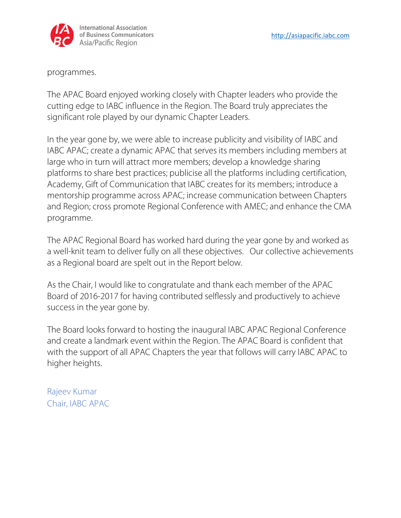

programmes.

The APAC Board enjoyed working closely with Chapter leaders who provide the cutting edge to IABC influence in the Region. The Board truly appreciates the significant role played by our dynamic Chapter Leaders.

In the year gone by, we were able to increase publicity and visibility of IABC and IABC APAC; create a dynamic APAC that serves its members including members at large who in turn will attract more members; develop a knowledge sharing platforms to share best practices; publicise all the platforms including certification, Academy, Gift of Communication that IABC creates for its members; introduce a mentorship programme across APAC; increase communication between Chapters and Region; cross promote Regional Conference with AMEC; and enhance the CMA programme.

The APAC Regional Board has worked hard during the year gone by and worked as a well-knit team to deliver fully on all these objectives. Our collective achievements as a Regional board are spelt out in the Report below.

As the Chair, I would like to congratulate and thank each member of the APAC Board of 2016-2017 for having contributed selflessly and productively to achieve success in the year gone by.

The Board looks forward to hosting the inaugural IABC APAC Regional Conference and create a landmark event within the Region. The APAC Board is confident that with the support of all APAC Chapters the year that follows will carry IABC APAC to higher heights.

Rajeev Kumar Chair, IABC APAC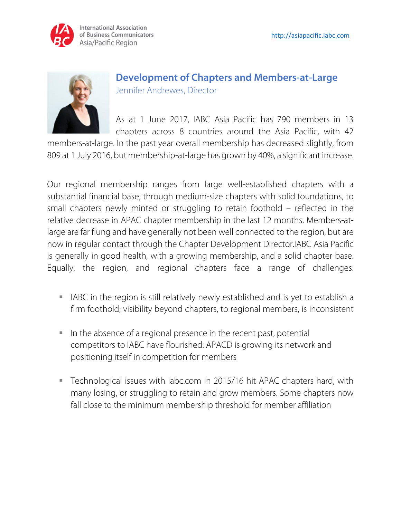



## **Development of Chapters and Members-at-Large**  Jennifer Andrewes, Director

As at 1 June 2017, IABC Asia Pacific has 790 members in 13 chapters across 8 countries around the Asia Pacific, with 42

members-at-large. In the past year overall membership has decreased slightly, from 809 at 1 July 2016, but membership-at-large has grown by 40%, a significant increase.

Our regional membership ranges from large well-established chapters with a substantial financial base, through medium-size chapters with solid foundations, to small chapters newly minted or struggling to retain foothold – reflected in the relative decrease in APAC chapter membership in the last 12 months. Members-atlarge are far flung and have generally not been well connected to the region, but are now in regular contact through the Chapter Development Director.IABC Asia Pacific is generally in good health, with a growing membership, and a solid chapter base. Equally, the region, and regional chapters face a range of challenges:

- IABC in the region is still relatively newly established and is yet to establish a firm foothold; visibility beyond chapters, to regional members, is inconsistent
- In the absence of a regional presence in the recent past, potential competitors to IABC have flourished: APACD is growing its network and positioning itself in competition for members
- Technological issues with iabc.com in 2015/16 hit APAC chapters hard, with many losing, or struggling to retain and grow members. Some chapters now fall close to the minimum membership threshold for member affiliation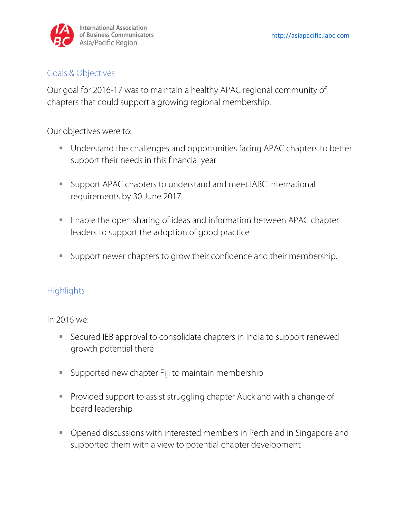

#### Goals & Objectives

Our goal for 2016-17 was to maintain a healthy APAC regional community of chapters that could support a growing regional membership.

Our objectives were to:

- **Understand the challenges and opportunities facing APAC chapters to better** support their needs in this financial year
- **Support APAC chapters to understand and meet IABC international** requirements by 30 June 2017
- Enable the open sharing of ideas and information between APAC chapter leaders to support the adoption of good practice
- Support newer chapters to grow their confidence and their membership.

## **Highlights**

In 2016 we:

- Secured IEB approval to consolidate chapters in India to support renewed growth potential there
- **Supported new chapter Fiji to maintain membership**
- **Provided support to assist struggling chapter Auckland with a change of** board leadership
- Opened discussions with interested members in Perth and in Singapore and supported them with a view to potential chapter development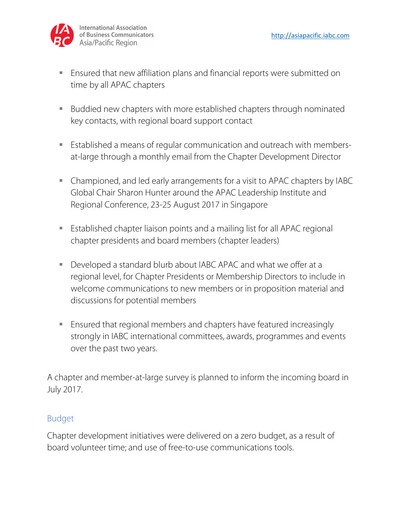

- Ensured that new affiliation plans and financial reports were submitted on time by all APAC chapters
- Buddied new chapters with more established chapters through nominated key contacts, with regional board support contact
- Established a means of regular communication and outreach with membersat-large through a monthly email from the Chapter Development Director
- Championed, and led early arrangements for a visit to APAC chapters by IABC Global Chair Sharon Hunter around the APAC Leadership Institute and Regional Conference, 23-25 August 2017 in Singapore
- Established chapter liaison points and a mailing list for all APAC regional chapter presidents and board members (chapter leaders)
- Developed a standard blurb about IABC APAC and what we offer at a regional level, for Chapter Presidents or Membership Directors to include in welcome communications to new members or in proposition material and discussions for potential members
- Ensured that regional members and chapters have featured increasingly strongly in IABC international committees, awards, programmes and events over the past two years.

A chapter and member-at-large survey is planned to inform the incoming board in July 2017.

#### Budget

Chapter development initiatives were delivered on a zero budget, as a result of board volunteer time; and use of free-to-use communications tools.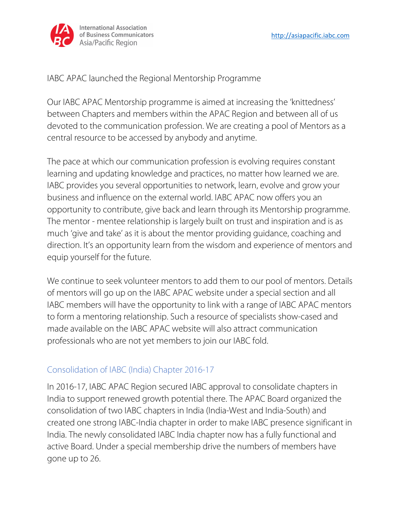

IABC APAC launched the Regional Mentorship Programme

Our IABC APAC Mentorship programme is aimed at increasing the 'knittedness' between Chapters and members within the APAC Region and between all of us devoted to the communication profession. We are creating a pool of Mentors as a central resource to be accessed by anybody and anytime.

The pace at which our communication profession is evolving requires constant learning and updating knowledge and practices, no matter how learned we are. IABC provides you several opportunities to network, learn, evolve and grow your business and influence on the external world. IABC APAC now offers you an opportunity to contribute, give back and learn through its Mentorship programme. The mentor - mentee relationship is largely built on trust and inspiration and is as much 'give and take' as it is about the mentor providing guidance, coaching and direction. It's an opportunity learn from the wisdom and experience of mentors and equip yourself for the future.

We continue to seek volunteer mentors to add them to our pool of mentors. Details of mentors will go up on the IABC APAC website under a special section and all IABC members will have the opportunity to link with a range of IABC APAC mentors to form a mentoring relationship. Such a resource of specialists show-cased and made available on the IABC APAC website will also attract communication professionals who are not yet members to join our IABC fold.

## Consolidation of IABC (India) Chapter 2016-17

In 2016-17, IABC APAC Region secured IABC approval to consolidate chapters in India to support renewed growth potential there. The APAC Board organized the consolidation of two IABC chapters in India (India-West and India-South) and created one strong IABC-India chapter in order to make IABC presence significant in India. The newly consolidated IABC India chapter now has a fully functional and active Board. Under a special membership drive the numbers of members have gone up to 26.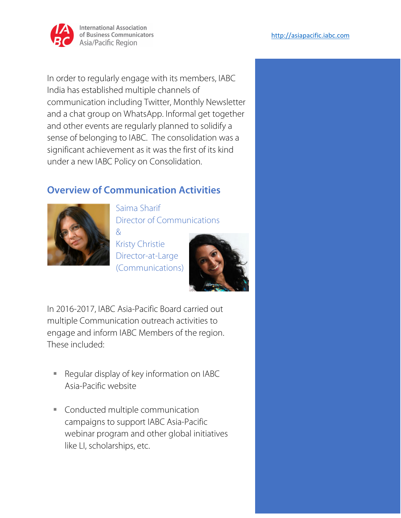

In order to regularly engage with its members, IABC India has established multiple channels of communication including Twitter, Monthly Newsletter and a chat group on WhatsApp. Informal get together and other events are regularly planned to solidify a sense of belonging to IABC. The consolidation was a significant achievement as it was the first of its kind under a new IABC Policy on Consolidation.

## **Overview of Communication Activities**



Saima Sharif Director of Communications  $\mathcal{R}$ 

Kristy Christie Director-at-Large (Communications)



In 2016-2017, IABC Asia-Pacific Board carried out multiple Communication outreach activities to engage and inform IABC Members of the region. These included:

- Regular display of key information on IABC Asia-Pacific website
- **Conducted multiple communication** campaigns to support IABC Asia-Pacific webinar program and other global initiatives like LI, scholarships, etc.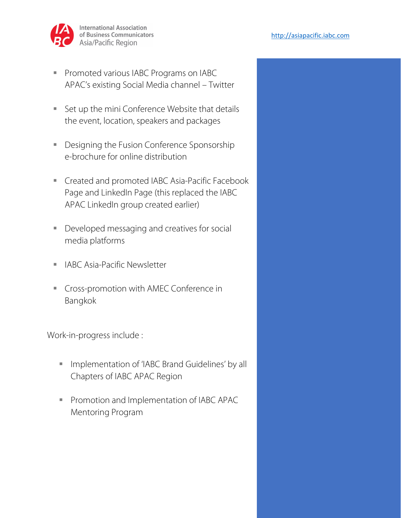

- **Promoted various IABC Programs on IABC** APAC's existing Social Media channel – Twitter
- Set up the mini Conference Website that details the event, location, speakers and packages
- **Designing the Fusion Conference Sponsorship** e-brochure for online distribution
- **EXECRED ENGLED IN A Created and promoted IABC Asia-Pacific Facebook** Page and LinkedIn Page (this replaced the IABC APAC LinkedIn group created earlier)
- Developed messaging and creatives for social media platforms
- **I** IABC Asia-Pacific Newsletter
- **Cross-promotion with AMEC Conference in** Bangkok

Work-in-progress include :

- **Implementation of 'IABC Brand Guidelines' by all** Chapters of IABC APAC Region
- **Promotion and Implementation of IABC APAC** Mentoring Program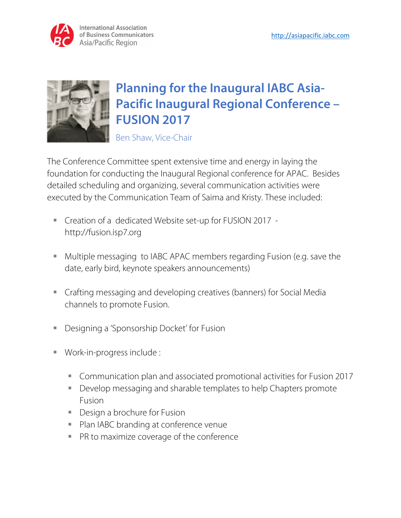



## **Planning for the Inaugural IABC Asia-Pacific Inaugural Regional Conference – FUSION 2017**

Ben Shaw, Vice-Chair

The Conference Committee spent extensive time and energy in laying the foundation for conducting the Inaugural Regional conference for APAC. Besides detailed scheduling and organizing, several communication activities were executed by the Communication Team of Saima and Kristy. These included:

- Creation of a dedicated Website set-up for FUSION 2017 http://fusion.isp7.org
- Multiple messaging to IABC APAC members regarding Fusion (e.g. save the date, early bird, keynote speakers announcements)
- Crafting messaging and developing creatives (banners) for Social Media channels to promote Fusion.
- Designing a 'Sponsorship Docket' for Fusion
- Work-in-progress include :
	- Communication plan and associated promotional activities for Fusion 2017
	- Develop messaging and sharable templates to help Chapters promote Fusion
	- **Design a brochure for Fusion**
	- **Plan IABC branding at conference venue**
	- **PR to maximize coverage of the conference**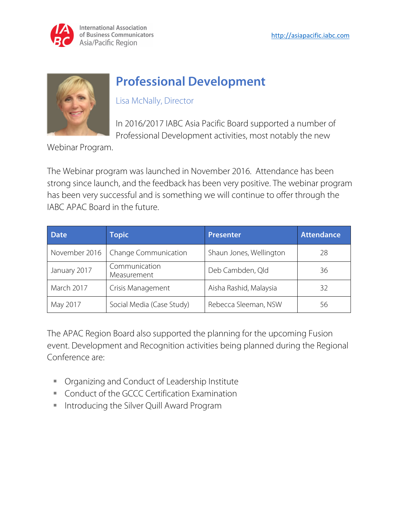

## **Professional Development**

Lisa McNally, Director

In 2016/2017 IABC Asia Pacific Board supported a number of Professional Development activities, most notably the new

Webinar Program.

The Webinar program was launched in November 2016. Attendance has been strong since launch, and the feedback has been very positive. The webinar program has been very successful and is something we will continue to offer through the IABC APAC Board in the future.

| <b>Date</b>   | <b>Topic</b>                 | <b>Presenter</b>        | <b>Attendance</b> |
|---------------|------------------------------|-------------------------|-------------------|
| November 2016 | <b>Change Communication</b>  | Shaun Jones, Wellington | 28                |
| January 2017  | Communication<br>Measurement | Deb Cambden, Qld        | 36                |
| March 2017    | Crisis Management            | Aisha Rashid, Malaysia  | 32                |
| May 2017      | Social Media (Case Study)    | Rebecca Sleeman, NSW    | 56                |

The APAC Region Board also supported the planning for the upcoming Fusion event. Development and Recognition activities being planned during the Regional Conference are:

- **Organizing and Conduct of Leadership Institute**
- **Conduct of the GCCC Certification Examination**
- **Introducing the Silver Quill Award Program**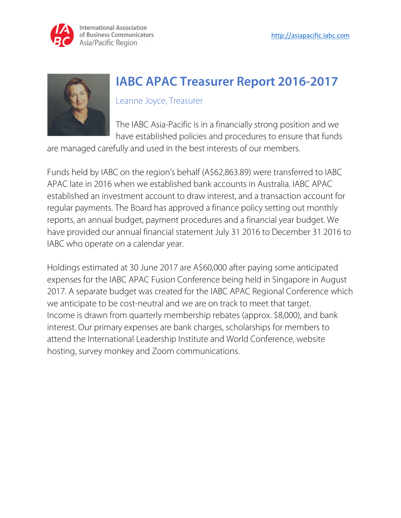



## **IABC APAC Treasurer Report 2016-2017**

#### Leanne Joyce, Treasurer

The IABC Asia-Pacific is in a financially strong position and we have established policies and procedures to ensure that funds

are managed carefully and used in the best interests of our members.

Funds held by IABC on the region's behalf (A\$62,863.89) were transferred to IABC APAC late in 2016 when we established bank accounts in Australia. IABC APAC established an investment account to draw interest, and a transaction account for regular payments. The Board has approved a finance policy setting out monthly reports, an annual budget, payment procedures and a financial year budget. We have provided our annual financial statement July 31 2016 to December 31 2016 to IABC who operate on a calendar year.

Holdings estimated at 30 June 2017 are A\$60,000 after paying some anticipated expenses for the IABC APAC Fusion Conference being held in Singapore in August 2017. A separate budget was created for the IABC APAC Regional Conference which we anticipate to be cost-neutral and we are on track to meet that target. Income is drawn from quarterly membership rebates (approx. \$8,000), and bank interest. Our primary expenses are bank charges, scholarships for members to attend the International Leadership Institute and World Conference, website hosting, survey monkey and Zoom communications.